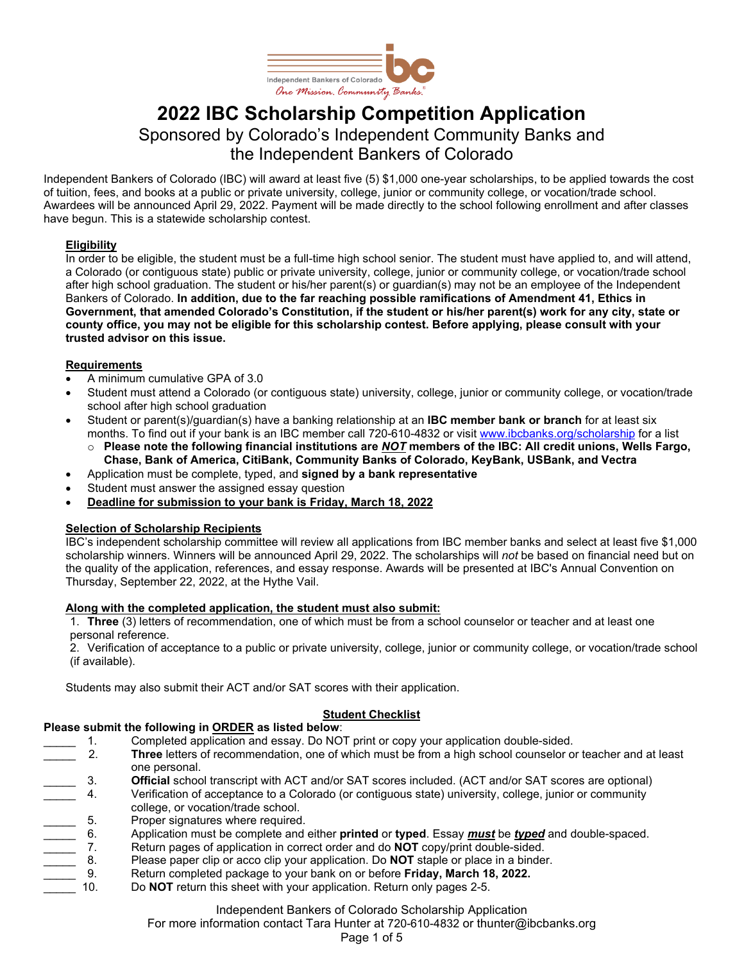

# **2022 IBC Scholarship Competition Application** Sponsored by Colorado's Independent Community Banks and the Independent Bankers of Colorado

Independent Bankers of Colorado (IBC) will award at least five (5) \$1,000 one-year scholarships, to be applied towards the cost of tuition, fees, and books at a public or private university, college, junior or community college, or vocation/trade school. Awardees will be announced April 29, 2022. Payment will be made directly to the school following enrollment and after classes have begun. This is a statewide scholarship contest.

#### **Eligibility**

In order to be eligible, the student must be a full-time high school senior. The student must have applied to, and will attend, a Colorado (or contiguous state) public or private university, college, junior or community college, or vocation/trade school after high school graduation. The student or his/her parent(s) or guardian(s) may not be an employee of the Independent Bankers of Colorado. **In addition, due to the far reaching possible ramifications of Amendment 41, Ethics in Government, that amended Colorado's Constitution, if the student or his/her parent(s) work for any city, state or county office, you may not be eligible for this scholarship contest. Before applying, please consult with your trusted advisor on this issue.**

#### **Requirements**

- A minimum cumulative GPA of 3.0
- Student must attend a Colorado (or contiguous state) university, college, junior or community college, or vocation/trade school after high school graduation
- Student or parent(s)/guardian(s) have a banking relationship at an **IBC member bank or branch** for at least six months. To find out if your bank is an IBC member call 720-610-4832 or visit [www.ibcbanks.org/scholarship](https://www.ibcbanks.org/scholarship) for a list
	- o **Please note the following financial institutions are** *NOT* **members of the IBC: All credit unions, Wells Fargo, Chase, Bank of America, CitiBank, Community Banks of Colorado, KeyBank, USBank, and Vectra**
- Application must be complete, typed, and **signed by a bank representative**
- Student must answer the assigned essay question
- **Deadline for submission to your bank is Friday, March 18, 2022**

#### **Selection of Scholarship Recipients**

IBC's independent scholarship committee will review all applications from IBC member banks and select at least five \$1,000 scholarship winners. Winners will be announced April 29, 2022. The scholarships will *not* be based on financial need but on the quality of the application, references, and essay response. Awards will be presented at IBC's Annual Convention on Thursday, September 22, 2022, at the Hythe Vail.

#### **Along with the completed application, the student must also submit:**

1. **Three** (3) letters of recommendation, one of which must be from a school counselor or teacher and at least one personal reference.

2. Verification of acceptance to a public or private university, college, junior or community college, or vocation/trade school (if available).

Students may also submit their ACT and/or SAT scores with their application.

#### **Student Checklist**

#### **Please submit the following in ORDER as listed below**:

- 1. Completed application and essay. Do NOT print or copy your application double-sided.
- 2. **Three** letters of recommendation, one of which must be from a high school counselor or teacher and at least one personal.
- 
- \_\_\_\_\_ 3. **Official** school transcript with ACT and/or SAT scores included. (ACT and/or SAT scores are optional) Verification of acceptance to a Colorado (or contiguous state) university, college, junior or community college, or vocation/trade school.
- 
- 5. Proper signatures where required.<br>
<u>Cannon Application</u> must be complete and 6. Application must be complete and either **printed** or **typed**. Essay <u>must</u> be <u>typed</u> and double-spaced.<br>7. Return pages of application in correct order and do NOT copy/print double-sided.<br>8. Please paper clip or acco c
- Return pages of application in correct order and do **NOT** copy/print double-sided.
- Please paper clip or acco clip your application. Do **NOT** staple or place in a binder.
- \_\_\_\_\_ 9. Return completed package to your bank on or before **Friday, March 18, 2022.**
- Do **NOT** return this sheet with your application. Return only pages 2-5.

### Independent Bankers of Colorado Scholarship Application

For more information contact Tara Hunter at 720-610-4832 or thunter@ibcbanks.org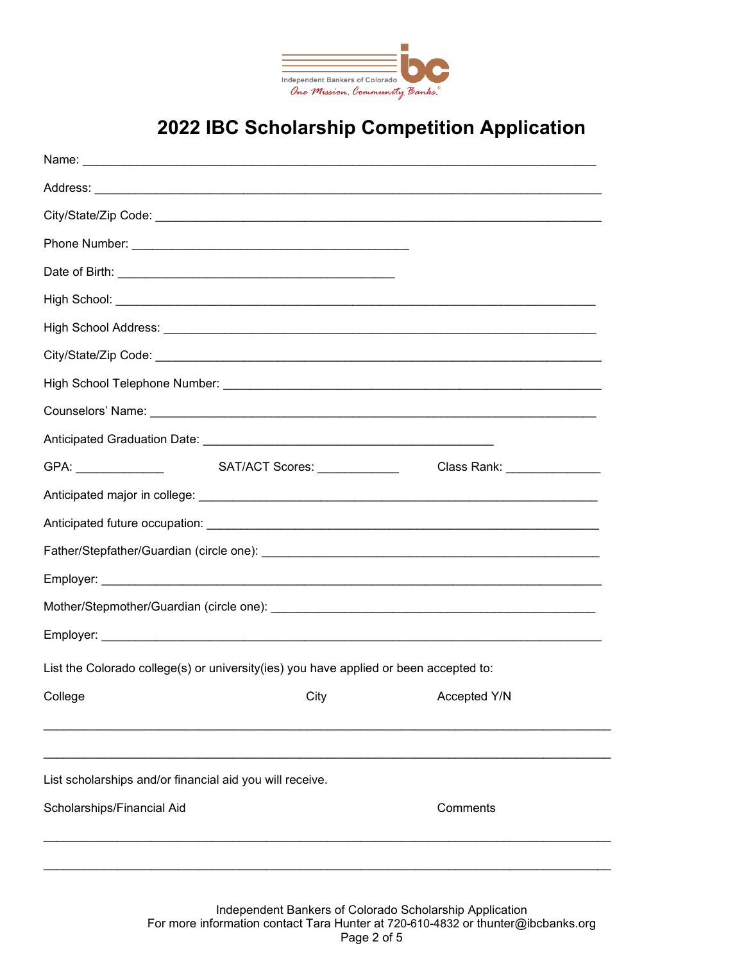

# **2022 IBC Scholarship Competition Application**

|                                                                                       | SAT/ACT Scores: _____________ | Class Rank: _______________ |  |  |  |  |  |  |  |  |
|---------------------------------------------------------------------------------------|-------------------------------|-----------------------------|--|--|--|--|--|--|--|--|
|                                                                                       |                               |                             |  |  |  |  |  |  |  |  |
|                                                                                       |                               |                             |  |  |  |  |  |  |  |  |
|                                                                                       |                               |                             |  |  |  |  |  |  |  |  |
|                                                                                       |                               |                             |  |  |  |  |  |  |  |  |
|                                                                                       |                               |                             |  |  |  |  |  |  |  |  |
|                                                                                       |                               |                             |  |  |  |  |  |  |  |  |
| List the Colorado college(s) or university(ies) you have applied or been accepted to: |                               |                             |  |  |  |  |  |  |  |  |
| College College College City City City                                                |                               |                             |  |  |  |  |  |  |  |  |
|                                                                                       |                               |                             |  |  |  |  |  |  |  |  |
|                                                                                       |                               |                             |  |  |  |  |  |  |  |  |
| List scholarships and/or financial aid you will receive.                              |                               |                             |  |  |  |  |  |  |  |  |
| Scholarships/Financial Aid                                                            |                               | Comments                    |  |  |  |  |  |  |  |  |
|                                                                                       |                               |                             |  |  |  |  |  |  |  |  |
|                                                                                       |                               |                             |  |  |  |  |  |  |  |  |

Independent Bankers of Colorado Scholarship Application For more information contact Tara Hunter at 720-610-4832 or thunter@ibcbanks.org Page 2 of 5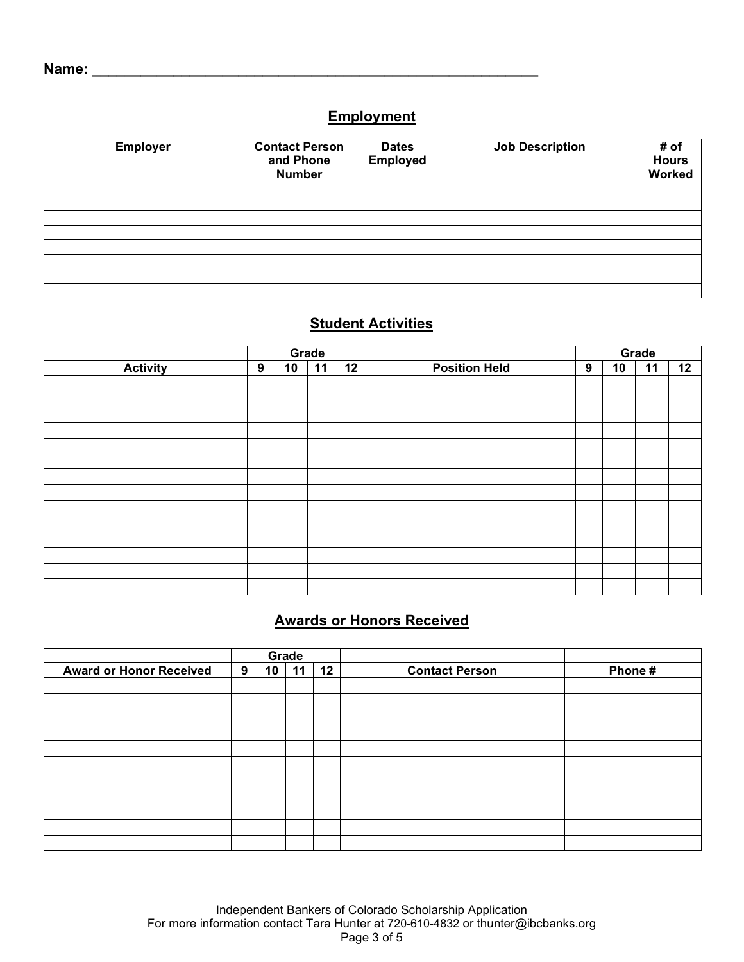### **Employment**

| <b>Employer</b> | <b>Contact Person</b><br>and Phone<br><b>Number</b> | <b>Dates</b><br><b>Employed</b> | <b>Job Description</b> | # of<br><b>Hours</b><br>Worked |
|-----------------|-----------------------------------------------------|---------------------------------|------------------------|--------------------------------|
|                 |                                                     |                                 |                        |                                |
|                 |                                                     |                                 |                        |                                |
|                 |                                                     |                                 |                        |                                |
|                 |                                                     |                                 |                        |                                |
|                 |                                                     |                                 |                        |                                |
|                 |                                                     |                                 |                        |                                |
|                 |                                                     |                                 |                        |                                |

### **Student Activities**

|                 | Grade |    |    |    |                      | Grade |    |    |    |
|-----------------|-------|----|----|----|----------------------|-------|----|----|----|
| <b>Activity</b> | 9     | 10 | 11 | 12 | <b>Position Held</b> | 9     | 10 | 11 | 12 |
|                 |       |    |    |    |                      |       |    |    |    |
|                 |       |    |    |    |                      |       |    |    |    |
|                 |       |    |    |    |                      |       |    |    |    |
|                 |       |    |    |    |                      |       |    |    |    |
|                 |       |    |    |    |                      |       |    |    |    |
|                 |       |    |    |    |                      |       |    |    |    |
|                 |       |    |    |    |                      |       |    |    |    |
|                 |       |    |    |    |                      |       |    |    |    |
|                 |       |    |    |    |                      |       |    |    |    |
|                 |       |    |    |    |                      |       |    |    |    |
|                 |       |    |    |    |                      |       |    |    |    |
|                 |       |    |    |    |                      |       |    |    |    |
|                 |       |    |    |    |                      |       |    |    |    |
|                 |       |    |    |    |                      |       |    |    |    |

### **Awards or Honors Received**

|                                | Grade |                 |    |    |                       |        |
|--------------------------------|-------|-----------------|----|----|-----------------------|--------|
| <b>Award or Honor Received</b> | 9     | 10 <sup>1</sup> | 11 | 12 | <b>Contact Person</b> | Phone# |
|                                |       |                 |    |    |                       |        |
|                                |       |                 |    |    |                       |        |
|                                |       |                 |    |    |                       |        |
|                                |       |                 |    |    |                       |        |
|                                |       |                 |    |    |                       |        |
|                                |       |                 |    |    |                       |        |
|                                |       |                 |    |    |                       |        |
|                                |       |                 |    |    |                       |        |
|                                |       |                 |    |    |                       |        |
|                                |       |                 |    |    |                       |        |
|                                |       |                 |    |    |                       |        |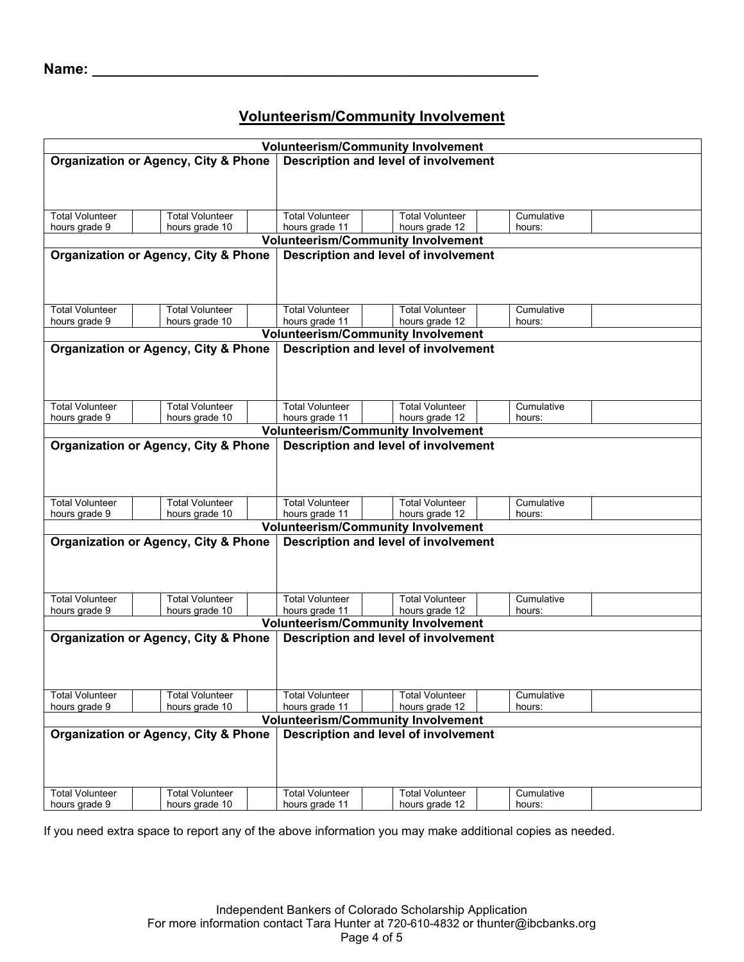### **Name: \_\_\_\_\_\_\_\_\_\_\_\_\_\_\_\_\_\_\_\_\_\_\_\_\_\_\_\_\_\_\_\_\_\_\_\_\_\_\_\_\_\_\_\_\_\_\_\_\_\_\_\_\_\_\_**

### **Volunteerism/Community Involvement**

|                                                 |                                                 |                        | <b>Volunteerism/Community Involvement</b>   |            |  |  |  |  |  |  |
|-------------------------------------------------|-------------------------------------------------|------------------------|---------------------------------------------|------------|--|--|--|--|--|--|
| <b>Organization or Agency, City &amp; Phone</b> |                                                 |                        | Description and level of involvement        |            |  |  |  |  |  |  |
|                                                 |                                                 |                        |                                             |            |  |  |  |  |  |  |
|                                                 |                                                 |                        |                                             |            |  |  |  |  |  |  |
|                                                 |                                                 |                        |                                             |            |  |  |  |  |  |  |
|                                                 |                                                 |                        |                                             |            |  |  |  |  |  |  |
| <b>Total Volunteer</b>                          | <b>Total Volunteer</b>                          | <b>Total Volunteer</b> | <b>Total Volunteer</b>                      | Cumulative |  |  |  |  |  |  |
| hours grade 9                                   | hours grade 10                                  | hours grade 11         | hours grade 12                              | hours:     |  |  |  |  |  |  |
|                                                 |                                                 |                        | <b>Volunteerism/Community Involvement</b>   |            |  |  |  |  |  |  |
|                                                 | <b>Organization or Agency, City &amp; Phone</b> |                        | Description and level of involvement        |            |  |  |  |  |  |  |
|                                                 |                                                 |                        |                                             |            |  |  |  |  |  |  |
|                                                 |                                                 |                        |                                             |            |  |  |  |  |  |  |
|                                                 |                                                 |                        |                                             |            |  |  |  |  |  |  |
| <b>Total Volunteer</b>                          | <b>Total Volunteer</b>                          | <b>Total Volunteer</b> | <b>Total Volunteer</b>                      | Cumulative |  |  |  |  |  |  |
| hours grade 9                                   | hours grade 10                                  | hours grade 11         | hours grade 12                              | hours:     |  |  |  |  |  |  |
|                                                 |                                                 |                        | <b>Volunteerism/Community Involvement</b>   |            |  |  |  |  |  |  |
|                                                 |                                                 |                        |                                             |            |  |  |  |  |  |  |
|                                                 | <b>Organization or Agency, City &amp; Phone</b> |                        | Description and level of involvement        |            |  |  |  |  |  |  |
|                                                 |                                                 |                        |                                             |            |  |  |  |  |  |  |
|                                                 |                                                 |                        |                                             |            |  |  |  |  |  |  |
|                                                 |                                                 |                        |                                             |            |  |  |  |  |  |  |
| <b>Total Volunteer</b>                          | <b>Total Volunteer</b>                          | <b>Total Volunteer</b> | <b>Total Volunteer</b>                      | Cumulative |  |  |  |  |  |  |
| hours grade 9                                   | hours grade 10                                  | hours grade 11         | hours grade 12                              | hours:     |  |  |  |  |  |  |
|                                                 |                                                 |                        | <b>Volunteerism/Community Involvement</b>   |            |  |  |  |  |  |  |
|                                                 |                                                 |                        |                                             |            |  |  |  |  |  |  |
|                                                 | <b>Organization or Agency, City &amp; Phone</b> |                        | Description and level of involvement        |            |  |  |  |  |  |  |
|                                                 |                                                 |                        |                                             |            |  |  |  |  |  |  |
|                                                 |                                                 |                        |                                             |            |  |  |  |  |  |  |
|                                                 |                                                 |                        |                                             |            |  |  |  |  |  |  |
| <b>Total Volunteer</b>                          | <b>Total Volunteer</b>                          | <b>Total Volunteer</b> | <b>Total Volunteer</b>                      | Cumulative |  |  |  |  |  |  |
| hours grade 9                                   | hours grade 10                                  | hours grade 11         | hours grade 12                              | hours:     |  |  |  |  |  |  |
|                                                 |                                                 |                        | <b>Volunteerism/Community Involvement</b>   |            |  |  |  |  |  |  |
|                                                 |                                                 |                        |                                             |            |  |  |  |  |  |  |
|                                                 | <b>Organization or Agency, City &amp; Phone</b> |                        | Description and level of involvement        |            |  |  |  |  |  |  |
|                                                 |                                                 |                        |                                             |            |  |  |  |  |  |  |
|                                                 |                                                 |                        |                                             |            |  |  |  |  |  |  |
|                                                 |                                                 |                        |                                             |            |  |  |  |  |  |  |
| <b>Total Volunteer</b>                          | <b>Total Volunteer</b>                          | <b>Total Volunteer</b> | <b>Total Volunteer</b>                      | Cumulative |  |  |  |  |  |  |
| hours grade 9                                   | hours grade 10                                  | hours grade 11         | hours grade 12                              | hours:     |  |  |  |  |  |  |
|                                                 |                                                 |                        | <b>Volunteerism/Community Involvement</b>   |            |  |  |  |  |  |  |
|                                                 |                                                 |                        |                                             |            |  |  |  |  |  |  |
|                                                 | <b>Organization or Agency, City &amp; Phone</b> |                        | <b>Description and level of involvement</b> |            |  |  |  |  |  |  |
|                                                 |                                                 |                        |                                             |            |  |  |  |  |  |  |
|                                                 |                                                 |                        |                                             |            |  |  |  |  |  |  |
|                                                 |                                                 |                        |                                             |            |  |  |  |  |  |  |
| <b>Total Volunteer</b>                          | <b>Total Volunteer</b>                          | <b>Total Volunteer</b> | <b>Total Volunteer</b>                      | Cumulative |  |  |  |  |  |  |
| hours grade 9                                   | hours grade 10                                  | hours grade 11         | hours grade 12                              | hours:     |  |  |  |  |  |  |
|                                                 |                                                 |                        | <b>Volunteerism/Community Involvement</b>   |            |  |  |  |  |  |  |
|                                                 |                                                 |                        |                                             |            |  |  |  |  |  |  |
|                                                 | <b>Organization or Agency, City &amp; Phone</b> |                        | Description and level of involvement        |            |  |  |  |  |  |  |
|                                                 |                                                 |                        |                                             |            |  |  |  |  |  |  |
|                                                 |                                                 |                        |                                             |            |  |  |  |  |  |  |
|                                                 |                                                 |                        |                                             |            |  |  |  |  |  |  |
| <b>Total Volunteer</b>                          | <b>Total Volunteer</b>                          | <b>Total Volunteer</b> | <b>Total Volunteer</b>                      | Cumulative |  |  |  |  |  |  |
| hours grade 9                                   | hours grade 10                                  | hours grade 11         | hours grade 12                              | hours:     |  |  |  |  |  |  |
|                                                 |                                                 |                        |                                             |            |  |  |  |  |  |  |

If you need extra space to report any of the above information you may make additional copies as needed.